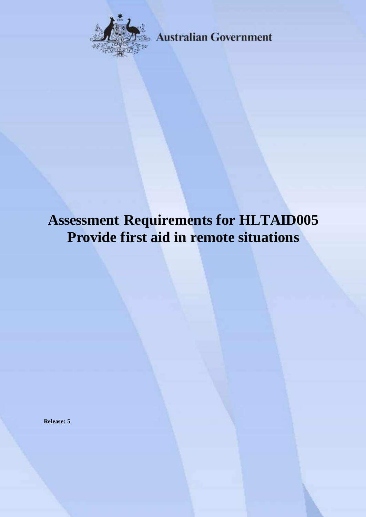

**Australian Government** 

# **Assessment Requirements for HLTAID005 Provide first aid in remote situations**

**Release: 5**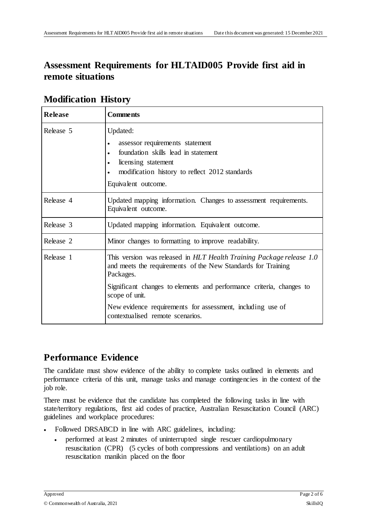# **Assessment Requirements for HLTAID005 Provide first aid in remote situations**

| <b>Release</b> | <b>Comments</b>                                                                                                                                                                                                                                                                                                                               |
|----------------|-----------------------------------------------------------------------------------------------------------------------------------------------------------------------------------------------------------------------------------------------------------------------------------------------------------------------------------------------|
| Release 5      | Updated:<br>assessor requirements statement<br>foundation skills lead in statement<br>licensing statement<br>$\bullet$<br>modification history to reflect 2012 standards<br>Equivalent outcome.                                                                                                                                               |
| Release 4      | Updated mapping information. Changes to assessment requirements.<br>Equivalent outcome.                                                                                                                                                                                                                                                       |
| Release 3      | Updated mapping information. Equivalent outcome.                                                                                                                                                                                                                                                                                              |
| Release 2      | Minor changes to formatting to improve readability.                                                                                                                                                                                                                                                                                           |
| Release 1      | This version was released in HLT Health Training Package release 1.0<br>and meets the requirements of the New Standards for Training<br>Packages.<br>Significant changes to elements and performance criteria, changes to<br>scope of unit.<br>New evidence requirements for assessment, including use of<br>contextualised remote scenarios. |

#### **Modification History**

# **Performance Evidence**

The candidate must show evidence of the ability to complete tasks outlined in elements and performance criteria of this unit, manage tasks and manage contingencies in the context of the job role.

There must be evidence that the candidate has completed the following tasks in line with state/territory regulations, first aid codes of practice, Australian Resuscitation Council (ARC) guidelines and workplace procedures:

- Followed DRSABCD in line with ARC guidelines, including:
	- performed at least 2 minutes of uninterrupted single rescuer cardiopulmonary resuscitation (CPR) (5 cycles of both compressions and ventilations) on an adult resuscitation manikin placed on the floor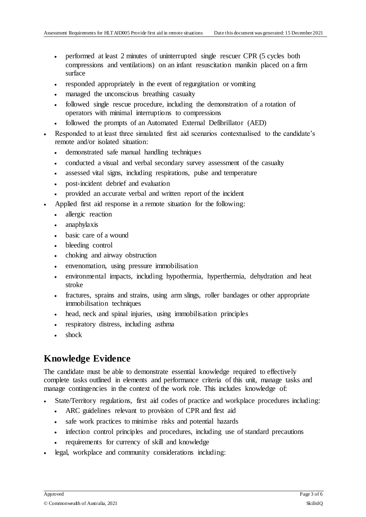- performed at least 2 minutes of uninterrupted single rescuer CPR (5 cycles both compressions and ventilations) on an infant resuscitation manikin placed on a firm surface
- responded appropriately in the event of regurgitation or vomiting
- managed the unconscious breathing casualty
- followed single rescue procedure, including the demonstration of a rotation of operators with minimal interruptions to compressions
- followed the prompts of an Automated External Defibrillator (AED)
- Responded to at least three simulated first aid scenarios contextualised to the candidate's remote and/or isolated situation:
	- demonstrated safe manual handling techniques
	- conducted a visual and verbal secondary survey assessment of the casualty
	- assessed vital signs, including respirations, pulse and temperature
	- post-incident debrief and evaluation
	- provided an accurate verbal and written report of the incident
- Applied first aid response in a remote situation for the following:
	- allergic reaction
	- anaphylaxis
	- basic care of a wound
	- bleeding control
	- choking and airway obstruction
	- envenomation, using pressure immobilisation
	- environmental impacts, including hypothermia, hyperthermia, dehydration and heat stroke
	- fractures, sprains and strains, using arm slings, roller bandages or other appropriate immobilisation techniques
	- head, neck and spinal injuries, using immobilisation principles
	- respiratory distress, including asthma
	- shock

### **Knowledge Evidence**

The candidate must be able to demonstrate essential knowledge required to effectively complete tasks outlined in elements and performance criteria of this unit, manage tasks and manage contingencies in the context of the work role. This includes knowledge of:

- State/Territory regulations, first aid codes of practice and workplace procedures including:
	- ARC guidelines relevant to provision of CPR and first aid
	- safe work practices to minimise risks and potential hazards
	- infection control principles and procedures, including use of standard precautions
	- requirements for currency of skill and knowledge
- legal, workplace and community considerations including: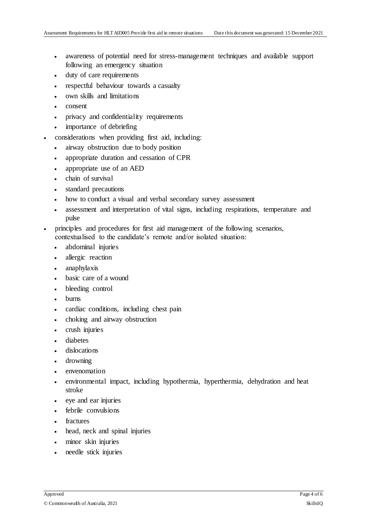- awareness of potential need for stress-management techniques and available support following an emergency situation
- duty of care requirements
- respectful behaviour towards a casualty
- own skills and limitations
- consent
- privacy and confidentiality requirements
- importance of debriefing
- considerations when providing first aid, including:
	- airway obstruction due to body position
	- appropriate duration and cessation of CPR
	- appropriate use of an AED
	- chain of survival
	- standard precautions
	- how to conduct a visual and verbal secondary survey assessment
	- assessment and interpretation of vital signs, including respirations, temperature and pulse
- principles and procedures for first aid management of the following scenarios, contextualised to the candidate's remote and/or isolated situation:
	- abdominal injuries
	- allergic reaction
	- anaphylaxis
	- basic care of a wound
	- bleeding control
	- burns
	- cardiac conditions, including chest pain
	- choking and airway obstruction
	- crush injuries
	- diabetes
	- dislocations
	- drowning
	- envenomation
	- environmental impact, including hypothermia, hyperthermia, dehydration and heat stroke
	- eye and ear injuries
	- febrile convulsions
	- fractures
	- head, neck and spinal injuries
	- minor skin injuries
	- needle stick injuries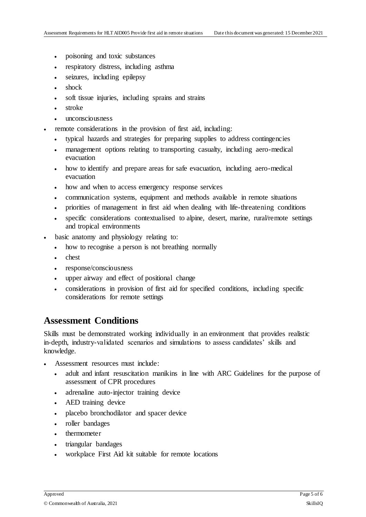- poisoning and toxic substances
- respiratory distress, including asthma
- seizures, including epilepsy
- shock
- soft tissue injuries, including sprains and strains
- stroke
- unconsciousness
- remote considerations in the provision of first aid, including:
	- typical hazards and strategies for preparing supplies to address contingencies
	- management options relating to transporting casualty, including aero-medical evacuation
	- how to identify and prepare areas for safe evacuation, including aero-medical evacuation
	- how and when to access emergency response services
	- communication systems, equipment and methods available in remote situations
	- priorities of management in first aid when dealing with life-threatening conditions
	- specific considerations contextualised to alpine, desert, marine, rural/remote settings and tropical environments
- basic anatomy and physiology relating to:
	- how to recognise a person is not breathing normally
	- chest
	- response/consciousness
	- upper airway and effect of positional change
	- considerations in provision of first aid for specified conditions, including specific considerations for remote settings

#### **Assessment Conditions**

Skills must be demonstrated working individually in an environment that provides realistic in-depth, industry-validated scenarios and simulations to assess candidates' skills and knowledge.

- Assessment resources must include:
	- adult and infant resuscitation manikins in line with ARC Guidelines for the purpose of assessment of CPR procedures
	- adrenaline auto-injector training device
	- AED training device
	- placebo bronchodilator and spacer device
	- roller bandages
	- thermometer
	- triangular bandages
	- workplace First Aid kit suitable for remote locations